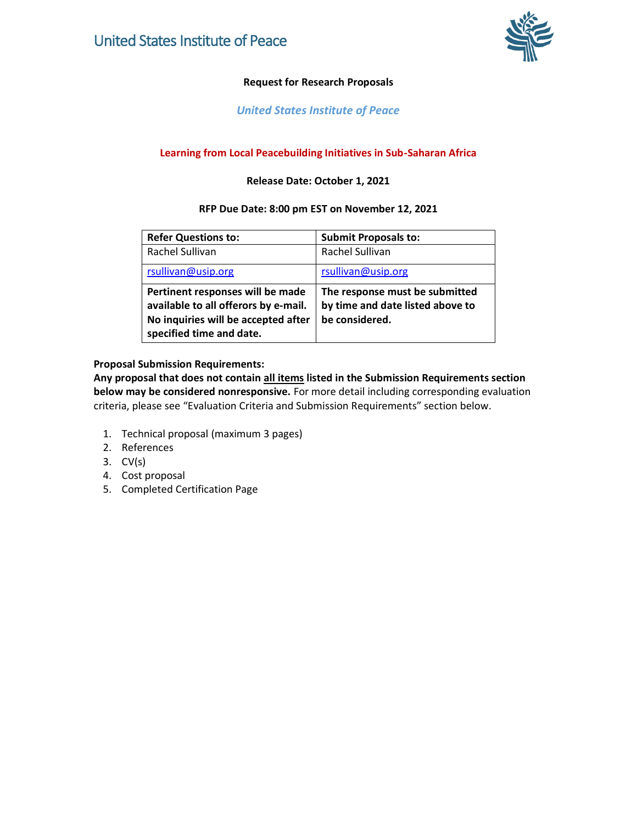

## **Request for Research Proposals**

## *United States Institute of Peace*

## **Learning from Local Peacebuilding Initiatives in Sub-Saharan Africa**

## **Release Date: October 1, 2021**

#### **RFP Due Date: 8:00 pm EST on November 12, 2021**

| <b>Refer Questions to:</b>                                                                                                                  | <b>Submit Proposals to:</b>                                                          |
|---------------------------------------------------------------------------------------------------------------------------------------------|--------------------------------------------------------------------------------------|
| Rachel Sullivan                                                                                                                             | Rachel Sullivan                                                                      |
| rsullivan@usip.org                                                                                                                          | rsullivan@usip.org                                                                   |
| Pertinent responses will be made<br>available to all offerors by e-mail.<br>No inquiries will be accepted after<br>specified time and date. | The response must be submitted<br>by time and date listed above to<br>be considered. |

#### **Proposal Submission Requirements:**

**Any proposal that does not contain all items listed in the Submission Requirements section below may be considered nonresponsive.** For more detail including corresponding evaluation criteria, please see "Evaluation Criteria and Submission Requirements" section below.

- 1. Technical proposal (maximum 3 pages)
- 2. References
- 3. CV(s)
- 4. Cost proposal
- 5. Completed Certification Page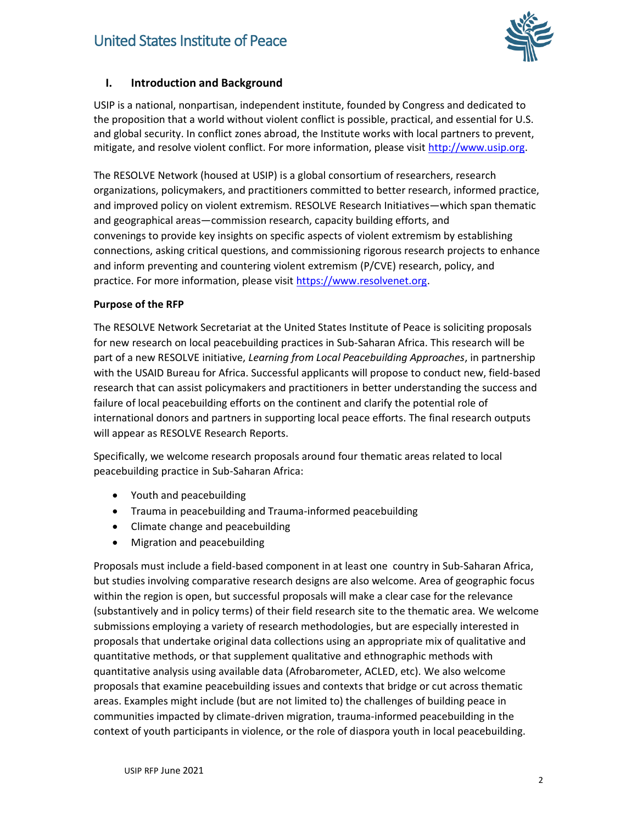

## **I. Introduction and Background**

USIP is a national, nonpartisan, independent institute, founded by Congress and dedicated to the proposition that a world without violent conflict is possible, practical, and essential for U.S. and global security. In conflict zones abroad, the Institute works with local partners to prevent, mitigate, and resolve violent conflict. For more information, please visi[t http://www.usip.org.](http://www.usip.org/)

The RESOLVE Network (housed at USIP) is a global consortium of researchers, research organizations, policymakers, and practitioners committed to better research, informed practice, and improved policy on violent extremism. RESOLVE Research Initiatives—which span thematic and geographical areas—commission research, capacity building efforts, and convenings to provide key insights on specific aspects of violent extremism by establishing connections, asking critical questions, and commissioning rigorous research projects to enhance and inform preventing and countering violent extremism (P/CVE) research, policy, and practice. For more information, please visit [https://www.resolvenet.org](https://www.resolvenet.org/).  

#### **Purpose of the RFP**

The RESOLVE Network Secretariat at the United States Institute of Peace is soliciting proposals for new research on local peacebuilding practices in Sub-Saharan Africa. This research will be part of a new RESOLVE initiative, *Learning from Local Peacebuilding Approaches*, in partnership with the USAID Bureau for Africa. Successful applicants will propose to conduct new, field-based research that can assist policymakers and practitioners in better understanding the success and failure of local peacebuilding efforts on the continent and clarify the potential role of international donors and partners in supporting local peace efforts. The final research outputs will appear as RESOLVE Research Reports.

Specifically, we welcome research proposals around four thematic areas related to local peacebuilding practice in Sub-Saharan Africa:

- Youth and peacebuilding
- Trauma in peacebuilding and Trauma-informed peacebuilding
- Climate change and peacebuilding
- Migration and peacebuilding

Proposals must include a field-based component in at least one country in Sub-Saharan Africa, but studies involving comparative research designs are also welcome. Area of geographic focus within the region is open, but successful proposals will make a clear case for the relevance (substantively and in policy terms) of their field research site to the thematic area. We welcome submissions employing a variety of research methodologies, but are especially interested in proposals that undertake original data collections using an appropriate mix of qualitative and quantitative methods, or that supplement qualitative and ethnographic methods with quantitative analysis using available data (Afrobarometer, ACLED, etc). We also welcome proposals that examine peacebuilding issues and contexts that bridge or cut across thematic areas. Examples might include (but are not limited to) the challenges of building peace in communities impacted by climate-driven migration, trauma-informed peacebuilding in the context of youth participants in violence, or the role of diaspora youth in local peacebuilding.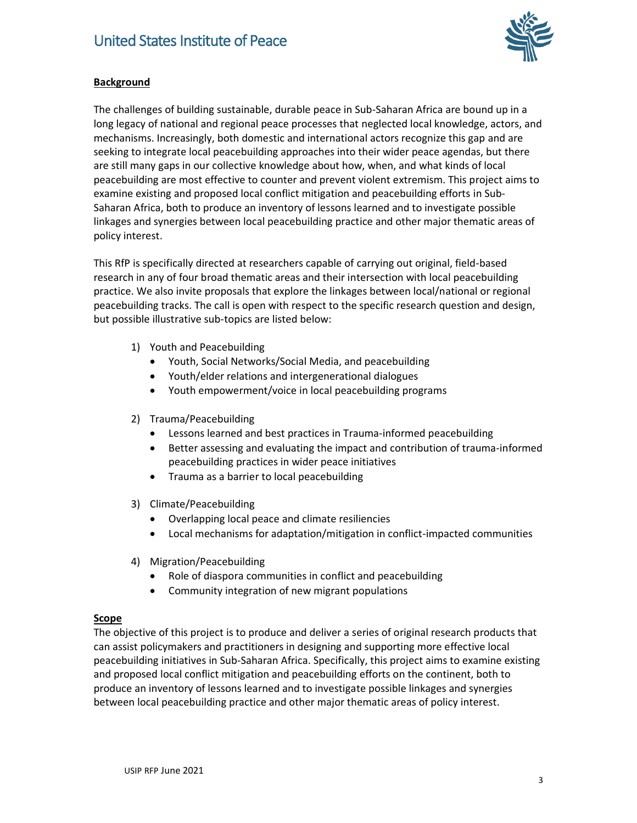

## **Background**

The challenges of building sustainable, durable peace in Sub-Saharan Africa are bound up in a long legacy of national and regional peace processes that neglected local knowledge, actors, and mechanisms. Increasingly, both domestic and international actors recognize this gap and are seeking to integrate local peacebuilding approaches into their wider peace agendas, but there are still many gaps in our collective knowledge about how, when, and what kinds of local peacebuilding are most effective to counter and prevent violent extremism. This project aims to examine existing and proposed local conflict mitigation and peacebuilding efforts in Sub-Saharan Africa, both to produce an inventory of lessons learned and to investigate possible linkages and synergies between local peacebuilding practice and other major thematic areas of policy interest.

This RfP is specifically directed at researchers capable of carrying out original, field-based research in any of four broad thematic areas and their intersection with local peacebuilding practice. We also invite proposals that explore the linkages between local/national or regional peacebuilding tracks. The call is open with respect to the specific research question and design, but possible illustrative sub-topics are listed below:

- 1) Youth and Peacebuilding
	- Youth, Social Networks/Social Media, and peacebuilding
	- Youth/elder relations and intergenerational dialogues
	- Youth empowerment/voice in local peacebuilding programs
- 2) Trauma/Peacebuilding
	- Lessons learned and best practices in Trauma-informed peacebuilding
	- Better assessing and evaluating the impact and contribution of trauma-informed peacebuilding practices in wider peace initiatives
	- Trauma as a barrier to local peacebuilding
- 3) Climate/Peacebuilding
	- Overlapping local peace and climate resiliencies
	- Local mechanisms for adaptation/mitigation in conflict-impacted communities
- 4) Migration/Peacebuilding
	- Role of diaspora communities in conflict and peacebuilding
	- Community integration of new migrant populations

## **Scope**

The objective of this project is to produce and deliver a series of original research products that can assist policymakers and practitioners in designing and supporting more effective local peacebuilding initiatives in Sub-Saharan Africa. Specifically, this project aims to examine existing and proposed local conflict mitigation and peacebuilding efforts on the continent, both to produce an inventory of lessons learned and to investigate possible linkages and synergies between local peacebuilding practice and other major thematic areas of policy interest.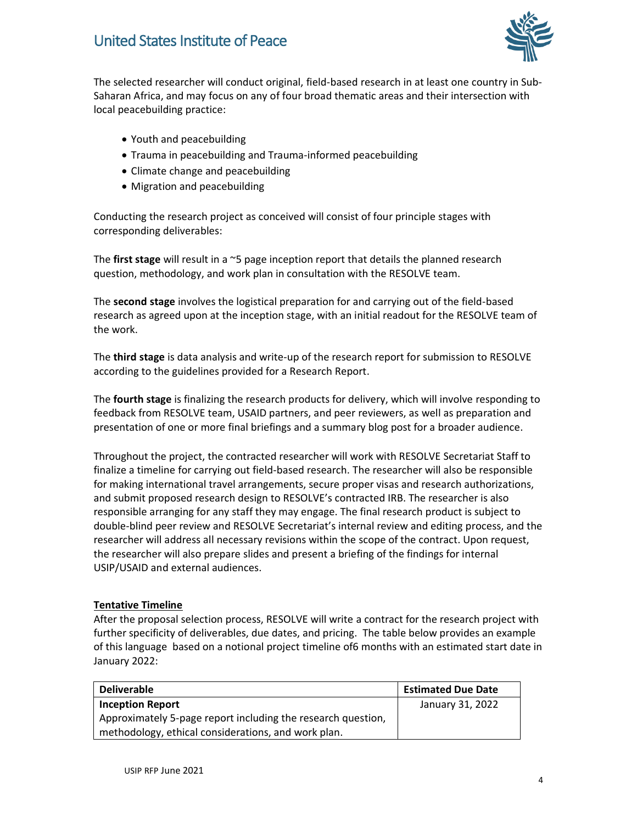

The selected researcher will conduct original, field-based research in at least one country in Sub-Saharan Africa, and may focus on any of four broad thematic areas and their intersection with local peacebuilding practice:

- Youth and peacebuilding
- Trauma in peacebuilding and Trauma-informed peacebuilding
- Climate change and peacebuilding
- Migration and peacebuilding

Conducting the research project as conceived will consist of four principle stages with corresponding deliverables:

The **first stage** will result in a ~5 page inception report that details the planned research question, methodology, and work plan in consultation with the RESOLVE team.

The **second stage** involves the logistical preparation for and carrying out of the field-based research as agreed upon at the inception stage, with an initial readout for the RESOLVE team of the work.

The **third stage** is data analysis and write-up of the research report for submission to RESOLVE according to the guidelines provided for a Research Report.

The **fourth stage** is finalizing the research products for delivery, which will involve responding to feedback from RESOLVE team, USAID partners, and peer reviewers, as well as preparation and presentation of one or more final briefings and a summary blog post for a broader audience.

Throughout the project, the contracted researcher will work with RESOLVE Secretariat Staff to finalize a timeline for carrying out field-based research. The researcher will also be responsible for making international travel arrangements, secure proper visas and research authorizations, and submit proposed research design to RESOLVE's contracted IRB. The researcher is also responsible arranging for any staff they may engage. The final research product is subject to double-blind peer review and RESOLVE Secretariat's internal review and editing process, and the researcher will address all necessary revisions within the scope of the contract. Upon request, the researcher will also prepare slides and present a briefing of the findings for internal USIP/USAID and external audiences.

## **Tentative Timeline**

After the proposal selection process, RESOLVE will write a contract for the research project with further specificity of deliverables, due dates, and pricing. The table below provides an example of this language based on a notional project timeline of6 months with an estimated start date in January 2022:

| <b>Deliverable</b>                                           | <b>Estimated Due Date</b> |
|--------------------------------------------------------------|---------------------------|
| <b>Inception Report</b>                                      | January 31, 2022          |
| Approximately 5-page report including the research question, |                           |
| methodology, ethical considerations, and work plan.          |                           |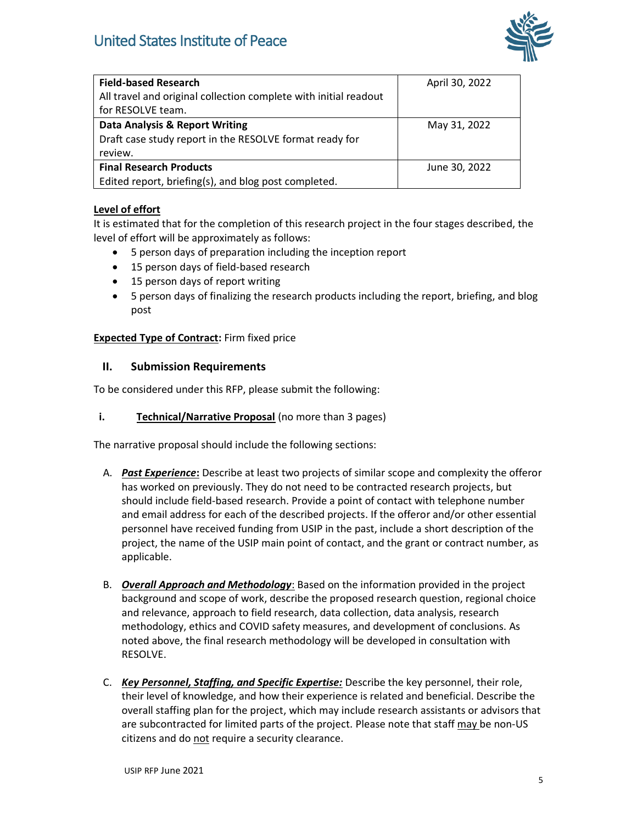

| <b>Field-based Research</b>                                      | April 30, 2022 |
|------------------------------------------------------------------|----------------|
| All travel and original collection complete with initial readout |                |
| for RESOLVE team.                                                |                |
| <b>Data Analysis &amp; Report Writing</b>                        | May 31, 2022   |
| Draft case study report in the RESOLVE format ready for          |                |
| review.                                                          |                |
| <b>Final Research Products</b>                                   | June 30, 2022  |
| Edited report, briefing(s), and blog post completed.             |                |

## **Level of effort**

It is estimated that for the completion of this research project in the four stages described, the level of effort will be approximately as follows:

- 5 person days of preparation including the inception report
- 15 person days of field-based research
- 15 person days of report writing
- 5 person days of finalizing the research products including the report, briefing, and blog post

## **Expected Type of Contract:** Firm fixed price

## **II. Submission Requirements**

To be considered under this RFP, please submit the following:

## **i. Technical/Narrative Proposal** (no more than 3 pages)

The narrative proposal should include the following sections:

- A. *Past Experience***:** Describe at least two projects of similar scope and complexity the offeror has worked on previously. They do not need to be contracted research projects, but should include field-based research. Provide a point of contact with telephone number and email address for each of the described projects. If the offeror and/or other essential personnel have received funding from USIP in the past, include a short description of the project, the name of the USIP main point of contact, and the grant or contract number, as applicable.
- B. *Overall Approach and Methodology*: Based on the information provided in the project background and scope of work, describe the proposed research question, regional choice and relevance, approach to field research, data collection, data analysis, research methodology, ethics and COVID safety measures, and development of conclusions. As noted above, the final research methodology will be developed in consultation with RESOLVE.
- C. *Key Personnel, Staffing, and Specific Expertise:* Describe the key personnel, their role, their level of knowledge, and how their experience is related and beneficial. Describe the overall staffing plan for the project, which may include research assistants or advisors that are subcontracted for limited parts of the project. Please note that staff may be non-US citizens and do not require a security clearance.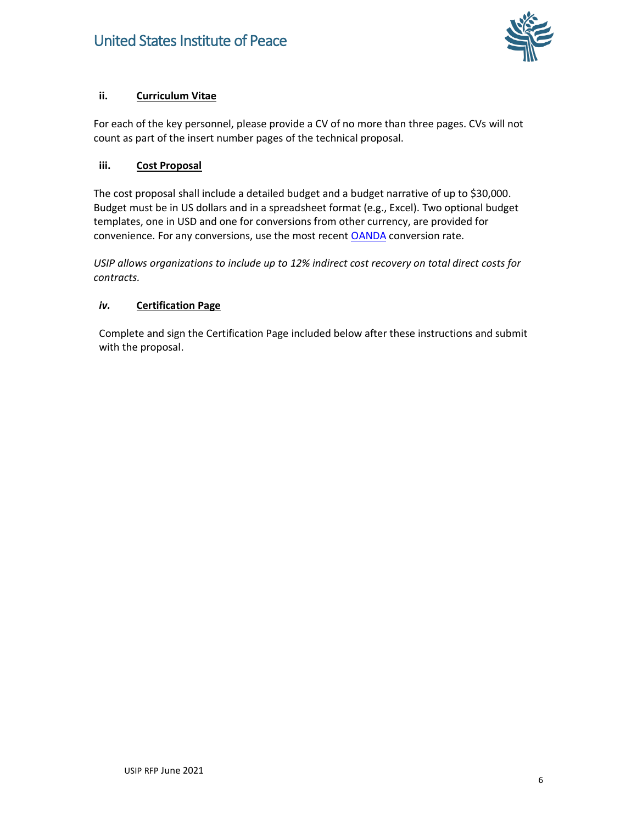

## **ii. Curriculum Vitae**

For each of the key personnel, please provide a CV of no more than three pages. CVs will not count as part of the insert number pages of the technical proposal.

## **iii. Cost Proposal**

The cost proposal shall include a detailed budget and a budget narrative of up to \$30,000. Budget must be in US dollars and in a spreadsheet format (e.g., Excel). Two optional budget templates, one in USD and one for conversions from other currency, are provided for convenience. For any conversions, use the most recent [OANDA](https://www1.oanda.com/currency/converter/) conversion rate.

*USIP allows organizations to include up to 12% indirect cost recovery on total direct costs for contracts.*

## *iv.* **Certification Page**

Complete and sign the Certification Page included below after these instructions and submit with the proposal.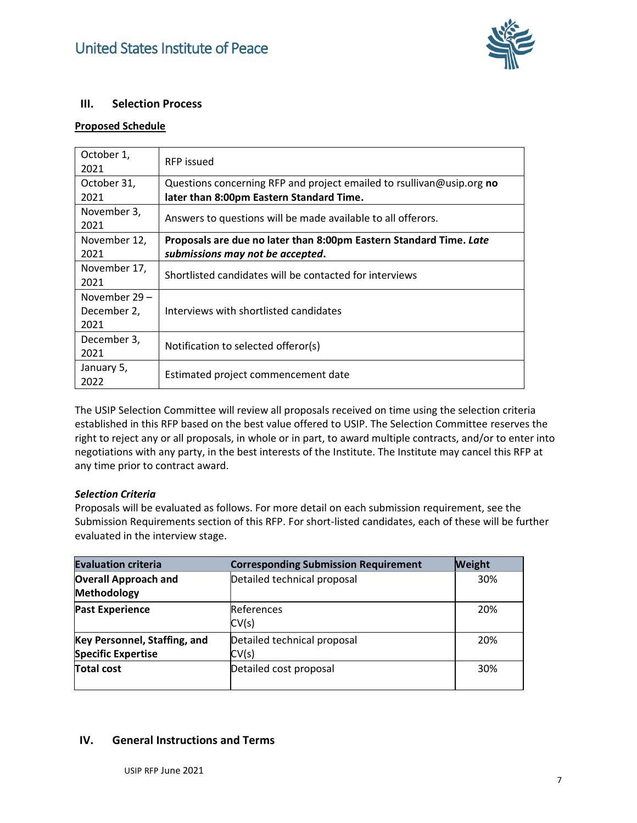

## **III. Selection Process**

### **Proposed Schedule**

| October 1,<br>2021 | <b>RFP</b> issued                                                     |  |
|--------------------|-----------------------------------------------------------------------|--|
| October 31,        | Questions concerning RFP and project emailed to rsullivan@usip.org no |  |
| 2021               | later than 8:00pm Eastern Standard Time.                              |  |
| November 3,        | Answers to questions will be made available to all offerors.          |  |
| 2021               |                                                                       |  |
| November 12,       | Proposals are due no later than 8:00pm Eastern Standard Time. Late    |  |
| 2021               | submissions may not be accepted.                                      |  |
| November 17,       |                                                                       |  |
| 2021               | Shortlisted candidates will be contacted for interviews               |  |
| November $29 -$    |                                                                       |  |
| December 2,        | Interviews with shortlisted candidates                                |  |
| 2021               |                                                                       |  |
| December 3,        |                                                                       |  |
| 2021               | Notification to selected offeror(s)                                   |  |
| January 5,<br>2022 | Estimated project commencement date                                   |  |

The USIP Selection Committee will review all proposals received on time using the selection criteria established in this RFP based on the best value offered to USIP. The Selection Committee reserves the right to reject any or all proposals, in whole or in part, to award multiple contracts, and/or to enter into negotiations with any party, in the best interests of the Institute. The Institute may cancel this RFP at any time prior to contract award.

## *Selection Criteria*

Proposals will be evaluated as follows. For more detail on each submission requirement, see the Submission Requirements section of this RFP. For short-listed candidates, each of these will be further evaluated in the interview stage.

| <b>Evaluation criteria</b>                                | <b>Corresponding Submission Requirement</b> | <b>Weight</b> |
|-----------------------------------------------------------|---------------------------------------------|---------------|
| <b>Overall Approach and</b><br><b>Methodology</b>         | Detailed technical proposal                 | 30%           |
| <b>Past Experience</b>                                    | References<br>CV(s)                         | 20%           |
| Key Personnel, Staffing, and<br><b>Specific Expertise</b> | Detailed technical proposal<br>CV(s)        | 20%           |
| <b>Total cost</b>                                         | Detailed cost proposal                      | 30%           |

## **IV. General Instructions and Terms**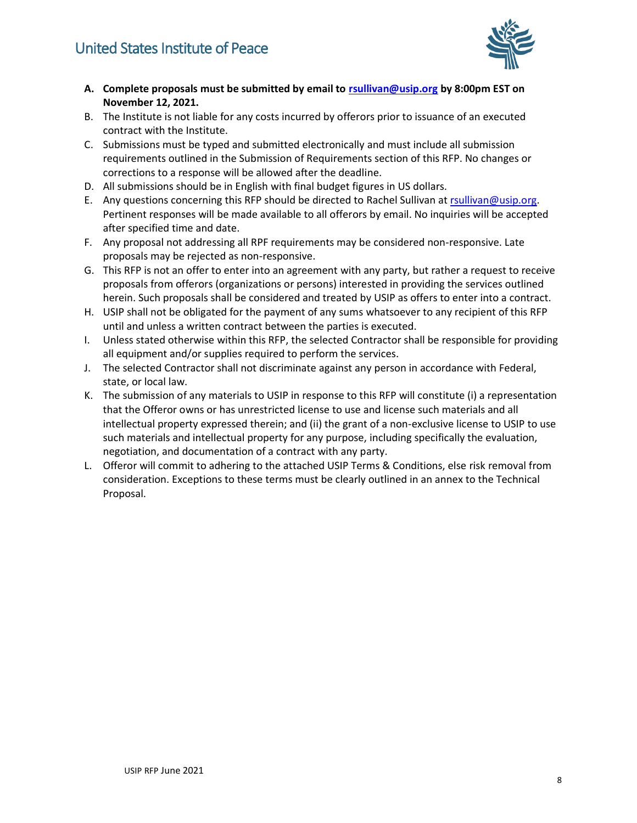

- **A. Complete proposals must be submitted by email to [rsullivan@usip.org](mailto:_____rsullivan@usip.org) by 8:00pm EST on November 12, 2021.**
- B. The Institute is not liable for any costs incurred by offerors prior to issuance of an executed contract with the Institute.
- C. Submissions must be typed and submitted electronically and must include all submission requirements outlined in the Submission of Requirements section of this RFP. No changes or corrections to a response will be allowed after the deadline.
- D. All submissions should be in English with final budget figures in US dollars.
- E. Any questions concerning this RFP should be directed to Rachel Sullivan at [rsullivan@usip.org.](mailto:rsullivan@usip.org) Pertinent responses will be made available to all offerors by email. No inquiries will be accepted after specified time and date.
- F. Any proposal not addressing all RPF requirements may be considered non-responsive. Late proposals may be rejected as non-responsive.
- G. This RFP is not an offer to enter into an agreement with any party, but rather a request to receive proposals from offerors (organizations or persons) interested in providing the services outlined herein. Such proposals shall be considered and treated by USIP as offers to enter into a contract.
- H. USIP shall not be obligated for the payment of any sums whatsoever to any recipient of this RFP until and unless a written contract between the parties is executed.
- I. Unless stated otherwise within this RFP, the selected Contractor shall be responsible for providing all equipment and/or supplies required to perform the services.
- J. The selected Contractor shall not discriminate against any person in accordance with Federal, state, or local law.
- K. The submission of any materials to USIP in response to this RFP will constitute (i) a representation that the Offeror owns or has unrestricted license to use and license such materials and all intellectual property expressed therein; and (ii) the grant of a non-exclusive license to USIP to use such materials and intellectual property for any purpose, including specifically the evaluation, negotiation, and documentation of a contract with any party.
- L. Offeror will commit to adhering to the attached USIP Terms & Conditions, else risk removal from consideration. Exceptions to these terms must be clearly outlined in an annex to the Technical Proposal.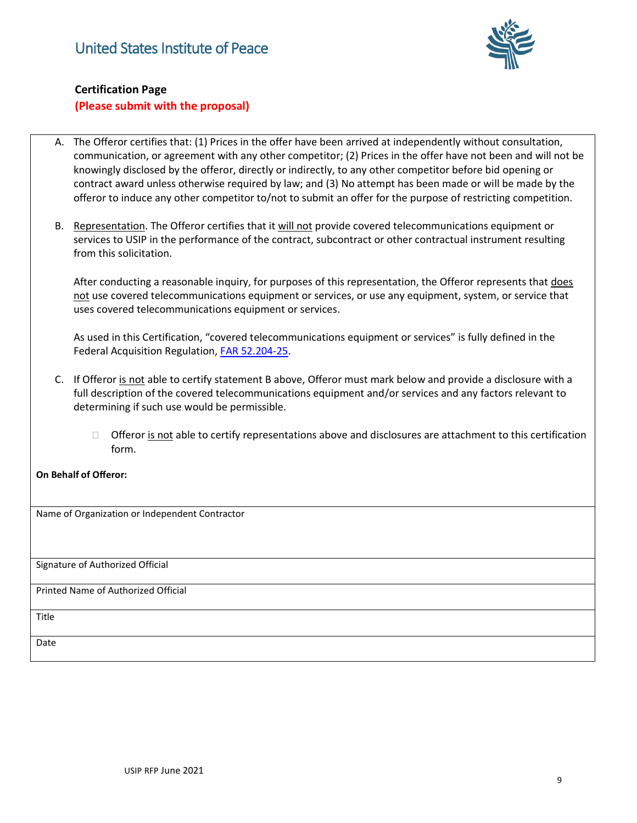

## **Certification Page (Please submit with the proposal)**

- A. The Offeror certifies that: (1) Prices in the offer have been arrived at independently without consultation, communication, or agreement with any other competitor; (2) Prices in the offer have not been and will not be knowingly disclosed by the offeror, directly or indirectly, to any other competitor before bid opening or contract award unless otherwise required by law; and (3) No attempt has been made or will be made by the offeror to induce any other competitor to/not to submit an offer for the purpose of restricting competition.
- B. Representation. The Offeror certifies that it will not provide covered telecommunications equipment or services to USIP in the performance of the contract, subcontract or other contractual instrument resulting from this solicitation.

After conducting a reasonable inquiry, for purposes of this representation, the Offeror represents that does not use covered telecommunications equipment or services, or use any equipment, system, or service that uses covered telecommunications equipment or services.

As used in this Certification, "covered telecommunications equipment or services" is fully defined in the Federal Acquisition Regulation, [FAR 52.204-25.](https://www.acquisition.gov/far/52.204-25)

- C. If Offeror is not able to certify statement B above, Offeror must mark below and provide a disclosure with a full description of the covered telecommunications equipment and/or services and any factors relevant to determining if such use would be permissible.
	- $\Box$  Offeror is not able to certify representations above and disclosures are attachment to this certification form.

**On Behalf of Offeror:**

Name of Organization or Independent Contractor

Signature of Authorized Official

Printed Name of Authorized Official

Date

Title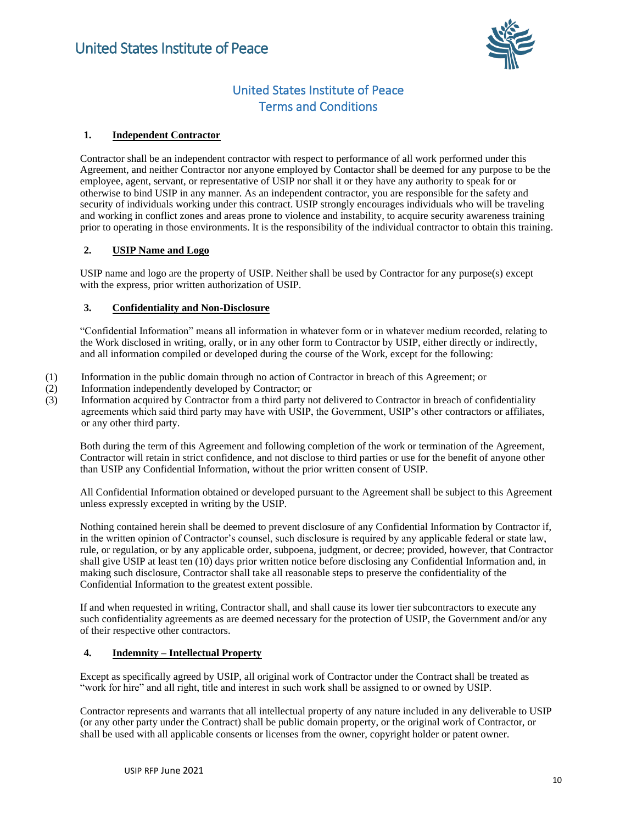

## United States Institute of Peace Terms and Conditions

#### **1. Independent Contractor**

Contractor shall be an independent contractor with respect to performance of all work performed under this Agreement, and neither Contractor nor anyone employed by Contactor shall be deemed for any purpose to be the employee, agent, servant, or representative of USIP nor shall it or they have any authority to speak for or otherwise to bind USIP in any manner. As an independent contractor, you are responsible for the safety and security of individuals working under this contract. USIP strongly encourages individuals who will be traveling and working in conflict zones and areas prone to violence and instability, to acquire security awareness training prior to operating in those environments. It is the responsibility of the individual contractor to obtain this training.

#### **2. USIP Name and Logo**

USIP name and logo are the property of USIP. Neither shall be used by Contractor for any purpose(s) except with the express, prior written authorization of USIP.

#### **3. Confidentiality and Non-Disclosure**

"Confidential Information" means all information in whatever form or in whatever medium recorded, relating to the Work disclosed in writing, orally, or in any other form to Contractor by USIP, either directly or indirectly, and all information compiled or developed during the course of the Work, except for the following:

- (1) Information in the public domain through no action of Contractor in breach of this Agreement; or
- (2) Information independently developed by Contractor; or
- (3) Information acquired by Contractor from a third party not delivered to Contractor in breach of confidentiality agreements which said third party may have with USIP, the Government, USIP's other contractors or affiliates, or any other third party.

Both during the term of this Agreement and following completion of the work or termination of the Agreement, Contractor will retain in strict confidence, and not disclose to third parties or use for the benefit of anyone other than USIP any Confidential Information, without the prior written consent of USIP.

All Confidential Information obtained or developed pursuant to the Agreement shall be subject to this Agreement unless expressly excepted in writing by the USIP.

Nothing contained herein shall be deemed to prevent disclosure of any Confidential Information by Contractor if, in the written opinion of Contractor's counsel, such disclosure is required by any applicable federal or state law, rule, or regulation, or by any applicable order, subpoena, judgment, or decree; provided, however, that Contractor shall give USIP at least ten (10) days prior written notice before disclosing any Confidential Information and, in making such disclosure, Contractor shall take all reasonable steps to preserve the confidentiality of the Confidential Information to the greatest extent possible.

If and when requested in writing, Contractor shall, and shall cause its lower tier subcontractors to execute any such confidentiality agreements as are deemed necessary for the protection of USIP, the Government and/or any of their respective other contractors.

#### **4. Indemnity – Intellectual Property**

Except as specifically agreed by USIP, all original work of Contractor under the Contract shall be treated as "work for hire" and all right, title and interest in such work shall be assigned to or owned by USIP.

Contractor represents and warrants that all intellectual property of any nature included in any deliverable to USIP (or any other party under the Contract) shall be public domain property, or the original work of Contractor, or shall be used with all applicable consents or licenses from the owner, copyright holder or patent owner.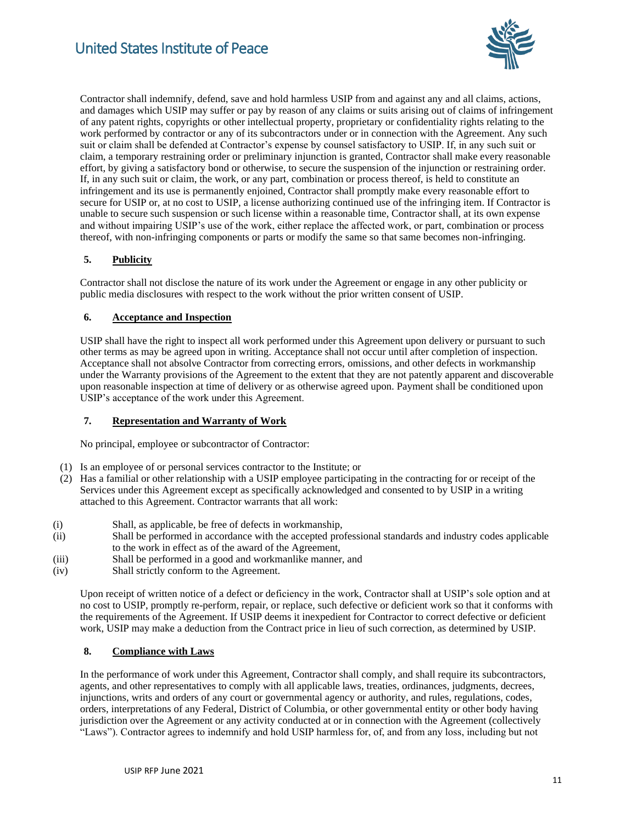

Contractor shall indemnify, defend, save and hold harmless USIP from and against any and all claims, actions, and damages which USIP may suffer or pay by reason of any claims or suits arising out of claims of infringement of any patent rights, copyrights or other intellectual property, proprietary or confidentiality rights relating to the work performed by contractor or any of its subcontractors under or in connection with the Agreement. Any such suit or claim shall be defended at Contractor's expense by counsel satisfactory to USIP. If, in any such suit or claim, a temporary restraining order or preliminary injunction is granted, Contractor shall make every reasonable effort, by giving a satisfactory bond or otherwise, to secure the suspension of the injunction or restraining order. If, in any such suit or claim, the work, or any part, combination or process thereof, is held to constitute an infringement and its use is permanently enjoined, Contractor shall promptly make every reasonable effort to secure for USIP or, at no cost to USIP, a license authorizing continued use of the infringing item. If Contractor is unable to secure such suspension or such license within a reasonable time, Contractor shall, at its own expense and without impairing USIP's use of the work, either replace the affected work, or part, combination or process thereof, with non-infringing components or parts or modify the same so that same becomes non-infringing.

## **5. Publicity**

Contractor shall not disclose the nature of its work under the Agreement or engage in any other publicity or public media disclosures with respect to the work without the prior written consent of USIP.

#### **6. Acceptance and Inspection**

USIP shall have the right to inspect all work performed under this Agreement upon delivery or pursuant to such other terms as may be agreed upon in writing. Acceptance shall not occur until after completion of inspection. Acceptance shall not absolve Contractor from correcting errors, omissions, and other defects in workmanship under the Warranty provisions of the Agreement to the extent that they are not patently apparent and discoverable upon reasonable inspection at time of delivery or as otherwise agreed upon. Payment shall be conditioned upon USIP's acceptance of the work under this Agreement.

#### **7. Representation and Warranty of Work**

No principal, employee or subcontractor of Contractor:

- (1) Is an employee of or personal services contractor to the Institute; or
- (2) Has a familial or other relationship with a USIP employee participating in the contracting for or receipt of the Services under this Agreement except as specifically acknowledged and consented to by USIP in a writing attached to this Agreement. Contractor warrants that all work:
- (i) Shall, as applicable, be free of defects in workmanship,
- (ii) Shall be performed in accordance with the accepted professional standards and industry codes applicable to the work in effect as of the award of the Agreement,
- (iii) Shall be performed in a good and workmanlike manner, and
- (iv) Shall strictly conform to the Agreement.

Upon receipt of written notice of a defect or deficiency in the work, Contractor shall at USIP's sole option and at no cost to USIP, promptly re-perform, repair, or replace, such defective or deficient work so that it conforms with the requirements of the Agreement. If USIP deems it inexpedient for Contractor to correct defective or deficient work, USIP may make a deduction from the Contract price in lieu of such correction, as determined by USIP.

#### **8. Compliance with Laws**

In the performance of work under this Agreement, Contractor shall comply, and shall require its subcontractors, agents, and other representatives to comply with all applicable laws, treaties, ordinances, judgments, decrees, injunctions, writs and orders of any court or governmental agency or authority, and rules, regulations, codes, orders, interpretations of any Federal, District of Columbia, or other governmental entity or other body having jurisdiction over the Agreement or any activity conducted at or in connection with the Agreement (collectively "Laws"). Contractor agrees to indemnify and hold USIP harmless for, of, and from any loss, including but not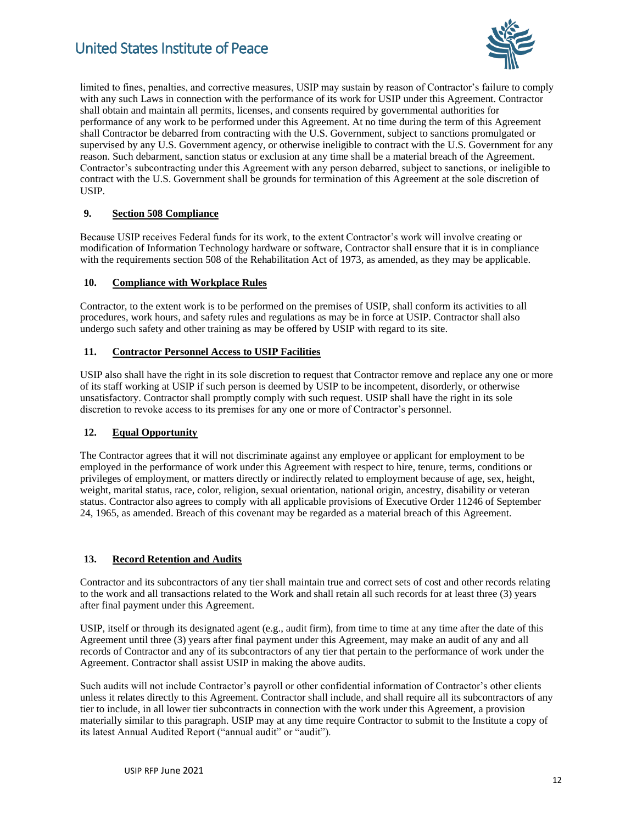

limited to fines, penalties, and corrective measures, USIP may sustain by reason of Contractor's failure to comply with any such Laws in connection with the performance of its work for USIP under this Agreement. Contractor shall obtain and maintain all permits, licenses, and consents required by governmental authorities for performance of any work to be performed under this Agreement. At no time during the term of this Agreement shall Contractor be debarred from contracting with the U.S. Government, subject to sanctions promulgated or supervised by any U.S. Government agency, or otherwise ineligible to contract with the U.S. Government for any reason. Such debarment, sanction status or exclusion at any time shall be a material breach of the Agreement. Contractor's subcontracting under this Agreement with any person debarred, subject to sanctions, or ineligible to contract with the U.S. Government shall be grounds for termination of this Agreement at the sole discretion of USIP.

#### **9. Section 508 Compliance**

Because USIP receives Federal funds for its work, to the extent Contractor's work will involve creating or modification of Information Technology hardware or software, Contractor shall ensure that it is in compliance with the requirements section 508 of the Rehabilitation Act of 1973, as amended, as they may be applicable.

#### **10. Compliance with Workplace Rules**

Contractor, to the extent work is to be performed on the premises of USIP, shall conform its activities to all procedures, work hours, and safety rules and regulations as may be in force at USIP. Contractor shall also undergo such safety and other training as may be offered by USIP with regard to its site.

#### **11. Contractor Personnel Access to USIP Facilities**

USIP also shall have the right in its sole discretion to request that Contractor remove and replace any one or more of its staff working at USIP if such person is deemed by USIP to be incompetent, disorderly, or otherwise unsatisfactory. Contractor shall promptly comply with such request. USIP shall have the right in its sole discretion to revoke access to its premises for any one or more of Contractor's personnel.

## **12. Equal Opportunity**

The Contractor agrees that it will not discriminate against any employee or applicant for employment to be employed in the performance of work under this Agreement with respect to hire, tenure, terms, conditions or privileges of employment, or matters directly or indirectly related to employment because of age, sex, height, weight, marital status, race, color, religion, sexual orientation, national origin, ancestry, disability or veteran status. Contractor also agrees to comply with all applicable provisions of Executive Order 11246 of September 24, 1965, as amended. Breach of this covenant may be regarded as a material breach of this Agreement.

#### **13. Record Retention and Audits**

Contractor and its subcontractors of any tier shall maintain true and correct sets of cost and other records relating to the work and all transactions related to the Work and shall retain all such records for at least three (3) years after final payment under this Agreement.

USIP, itself or through its designated agent (e.g., audit firm), from time to time at any time after the date of this Agreement until three (3) years after final payment under this Agreement, may make an audit of any and all records of Contractor and any of its subcontractors of any tier that pertain to the performance of work under the Agreement. Contractor shall assist USIP in making the above audits.

Such audits will not include Contractor's payroll or other confidential information of Contractor's other clients unless it relates directly to this Agreement. Contractor shall include, and shall require all its subcontractors of any tier to include, in all lower tier subcontracts in connection with the work under this Agreement, a provision materially similar to this paragraph. USIP may at any time require Contractor to submit to the Institute a copy of its latest Annual Audited Report ("annual audit" or "audit").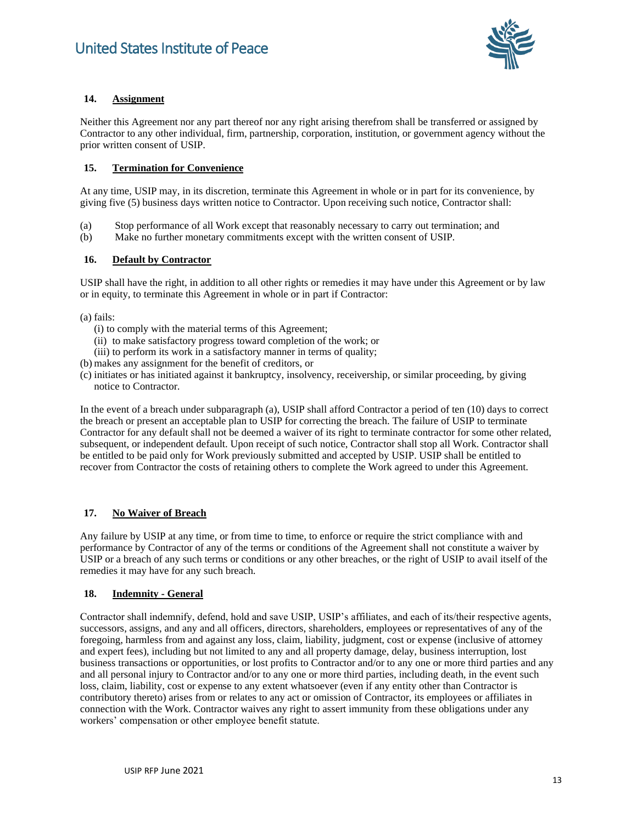

#### **14. Assignment**

Neither this Agreement nor any part thereof nor any right arising therefrom shall be transferred or assigned by Contractor to any other individual, firm, partnership, corporation, institution, or government agency without the prior written consent of USIP.

#### **15. Termination for Convenience**

At any time, USIP may, in its discretion, terminate this Agreement in whole or in part for its convenience, by giving five (5) business days written notice to Contractor. Upon receiving such notice, Contractor shall:

- (a) Stop performance of all Work except that reasonably necessary to carry out termination; and
- (b) Make no further monetary commitments except with the written consent of USIP.

#### **16. Default by Contractor**

USIP shall have the right, in addition to all other rights or remedies it may have under this Agreement or by law or in equity, to terminate this Agreement in whole or in part if Contractor:

(a) fails:

- (i) to comply with the material terms of this Agreement;
- (ii) to make satisfactory progress toward completion of the work; or
- (iii) to perform its work in a satisfactory manner in terms of quality;
- (b) makes any assignment for the benefit of creditors, or
- (c) initiates or has initiated against it bankruptcy, insolvency, receivership, or similar proceeding, by giving notice to Contractor.

In the event of a breach under subparagraph (a), USIP shall afford Contractor a period of ten (10) days to correct the breach or present an acceptable plan to USIP for correcting the breach. The failure of USIP to terminate Contractor for any default shall not be deemed a waiver of its right to terminate contractor for some other related, subsequent, or independent default. Upon receipt of such notice, Contractor shall stop all Work. Contractor shall be entitled to be paid only for Work previously submitted and accepted by USIP. USIP shall be entitled to recover from Contractor the costs of retaining others to complete the Work agreed to under this Agreement.

#### **17. No Waiver of Breach**

Any failure by USIP at any time, or from time to time, to enforce or require the strict compliance with and performance by Contractor of any of the terms or conditions of the Agreement shall not constitute a waiver by USIP or a breach of any such terms or conditions or any other breaches, or the right of USIP to avail itself of the remedies it may have for any such breach.

#### **18. Indemnity - General**

Contractor shall indemnify, defend, hold and save USIP, USIP's affiliates, and each of its/their respective agents, successors, assigns, and any and all officers, directors, shareholders, employees or representatives of any of the foregoing, harmless from and against any loss, claim, liability, judgment, cost or expense (inclusive of attorney and expert fees), including but not limited to any and all property damage, delay, business interruption, lost business transactions or opportunities, or lost profits to Contractor and/or to any one or more third parties and any and all personal injury to Contractor and/or to any one or more third parties, including death, in the event such loss, claim, liability, cost or expense to any extent whatsoever (even if any entity other than Contractor is contributory thereto) arises from or relates to any act or omission of Contractor, its employees or affiliates in connection with the Work. Contractor waives any right to assert immunity from these obligations under any workers' compensation or other employee benefit statute.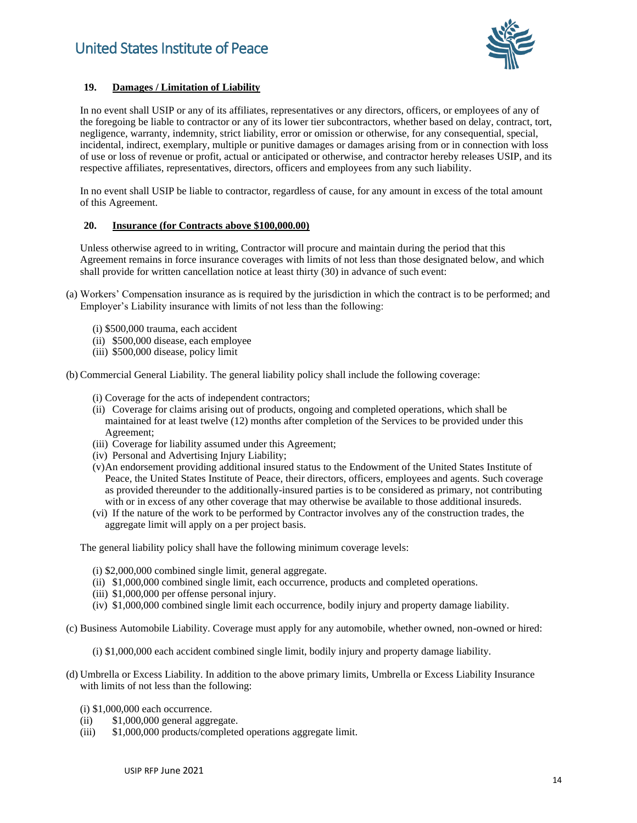

#### **19. Damages / Limitation of Liability**

In no event shall USIP or any of its affiliates, representatives or any directors, officers, or employees of any of the foregoing be liable to contractor or any of its lower tier subcontractors, whether based on delay, contract, tort, negligence, warranty, indemnity, strict liability, error or omission or otherwise, for any consequential, special, incidental, indirect, exemplary, multiple or punitive damages or damages arising from or in connection with loss of use or loss of revenue or profit, actual or anticipated or otherwise, and contractor hereby releases USIP, and its respective affiliates, representatives, directors, officers and employees from any such liability.

In no event shall USIP be liable to contractor, regardless of cause, for any amount in excess of the total amount of this Agreement.

#### **20. Insurance (for Contracts above \$100,000.00)**

Unless otherwise agreed to in writing, Contractor will procure and maintain during the period that this Agreement remains in force insurance coverages with limits of not less than those designated below, and which shall provide for written cancellation notice at least thirty (30) in advance of such event:

- (a) Workers' Compensation insurance as is required by the jurisdiction in which the contract is to be performed; and Employer's Liability insurance with limits of not less than the following:
	- (i) \$500,000 trauma, each accident
	- (ii) \$500,000 disease, each employee
	- (iii) \$500,000 disease, policy limit

(b) Commercial General Liability. The general liability policy shall include the following coverage:

- (i) Coverage for the acts of independent contractors;
- (ii) Coverage for claims arising out of products, ongoing and completed operations, which shall be maintained for at least twelve (12) months after completion of the Services to be provided under this Agreement;
- (iii) Coverage for liability assumed under this Agreement;
- (iv) Personal and Advertising Injury Liability;
- (v)An endorsement providing additional insured status to the Endowment of the United States Institute of Peace, the United States Institute of Peace, their directors, officers, employees and agents. Such coverage as provided thereunder to the additionally-insured parties is to be considered as primary, not contributing with or in excess of any other coverage that may otherwise be available to those additional insureds.
- (vi) If the nature of the work to be performed by Contractor involves any of the construction trades, the aggregate limit will apply on a per project basis.

The general liability policy shall have the following minimum coverage levels:

- (i) \$2,000,000 combined single limit, general aggregate.
- (ii) \$1,000,000 combined single limit, each occurrence, products and completed operations.
- (iii) \$1,000,000 per offense personal injury.
- (iv) \$1,000,000 combined single limit each occurrence, bodily injury and property damage liability.
- (c) Business Automobile Liability. Coverage must apply for any automobile, whether owned, non-owned or hired:
	- (i) \$1,000,000 each accident combined single limit, bodily injury and property damage liability.
- (d) Umbrella or Excess Liability. In addition to the above primary limits, Umbrella or Excess Liability Insurance with limits of not less than the following:
	- (i) \$1,000,000 each occurrence.
	- (ii) \$1,000,000 general aggregate.
	- (iii) \$1,000,000 products/completed operations aggregate limit.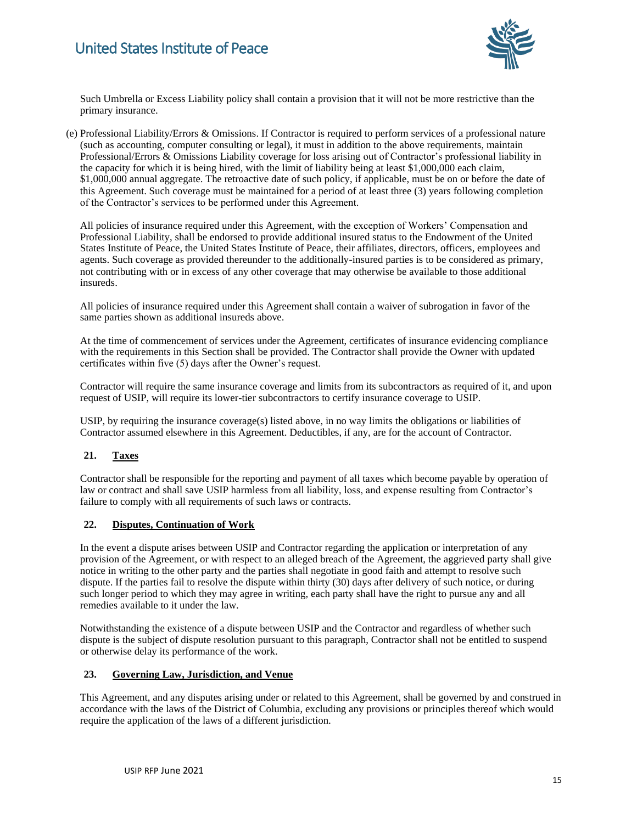

Such Umbrella or Excess Liability policy shall contain a provision that it will not be more restrictive than the primary insurance.

(e) Professional Liability/Errors & Omissions. If Contractor is required to perform services of a professional nature (such as accounting, computer consulting or legal), it must in addition to the above requirements, maintain Professional/Errors & Omissions Liability coverage for loss arising out of Contractor's professional liability in the capacity for which it is being hired, with the limit of liability being at least \$1,000,000 each claim, \$1,000,000 annual aggregate. The retroactive date of such policy, if applicable, must be on or before the date of this Agreement. Such coverage must be maintained for a period of at least three (3) years following completion of the Contractor's services to be performed under this Agreement.

All policies of insurance required under this Agreement, with the exception of Workers' Compensation and Professional Liability, shall be endorsed to provide additional insured status to the Endowment of the United States Institute of Peace, the United States Institute of Peace, their affiliates, directors, officers, employees and agents. Such coverage as provided thereunder to the additionally-insured parties is to be considered as primary, not contributing with or in excess of any other coverage that may otherwise be available to those additional insureds.

All policies of insurance required under this Agreement shall contain a waiver of subrogation in favor of the same parties shown as additional insureds above.

At the time of commencement of services under the Agreement, certificates of insurance evidencing compliance with the requirements in this Section shall be provided. The Contractor shall provide the Owner with updated certificates within five (5) days after the Owner's request.

Contractor will require the same insurance coverage and limits from its subcontractors as required of it, and upon request of USIP, will require its lower-tier subcontractors to certify insurance coverage to USIP.

USIP, by requiring the insurance coverage(s) listed above, in no way limits the obligations or liabilities of Contractor assumed elsewhere in this Agreement. Deductibles, if any, are for the account of Contractor.

#### **21. Taxes**

Contractor shall be responsible for the reporting and payment of all taxes which become payable by operation of law or contract and shall save USIP harmless from all liability, loss, and expense resulting from Contractor's failure to comply with all requirements of such laws or contracts.

#### **22. Disputes, Continuation of Work**

In the event a dispute arises between USIP and Contractor regarding the application or interpretation of any provision of the Agreement, or with respect to an alleged breach of the Agreement, the aggrieved party shall give notice in writing to the other party and the parties shall negotiate in good faith and attempt to resolve such dispute. If the parties fail to resolve the dispute within thirty (30) days after delivery of such notice, or during such longer period to which they may agree in writing, each party shall have the right to pursue any and all remedies available to it under the law.

Notwithstanding the existence of a dispute between USIP and the Contractor and regardless of whether such dispute is the subject of dispute resolution pursuant to this paragraph, Contractor shall not be entitled to suspend or otherwise delay its performance of the work.

#### **23. Governing Law, Jurisdiction, and Venue**

This Agreement, and any disputes arising under or related to this Agreement, shall be governed by and construed in accordance with the laws of the District of Columbia, excluding any provisions or principles thereof which would require the application of the laws of a different jurisdiction.